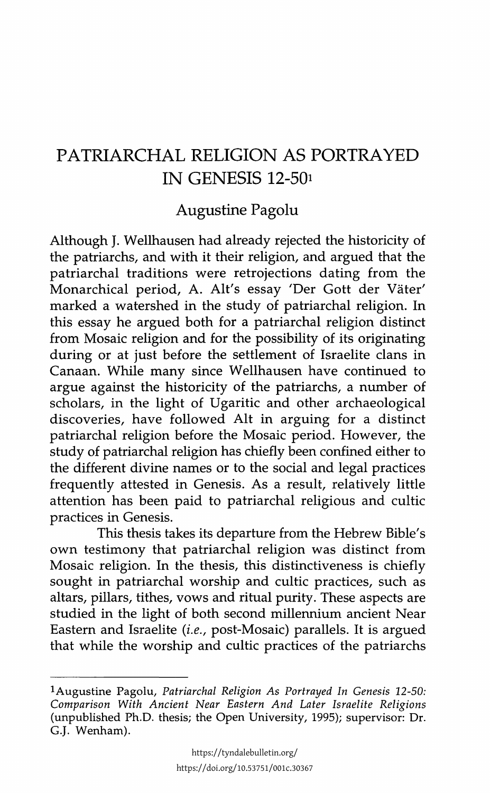## PATRIARCHAL RELIGION AS PORTRAYED IN GENESIS 12-501

## Augustine Pagolu

Although J. Wellhausen had already rejected the historicity of the patriarchs, and with it their religion, and argued that the patriarchal traditions were retrojections dating from the Monarchical period, A. Alt's essay 'Der Gott der Väter' marked a watershed in the study of patriarchal religion. In this essay he argued both for a patriarchal religion distinct from Mosaic religion and for the possibility of its originating during or at just before the settlement of Israelite clans in Canaan. While many since Wellhausen have continued to argue against the historicity of the patriarchs, a number of scholars, in the light of Ugaritic and other archaeological discoveries, have followed Alt in arguing for a distinct patriarchal religion before the Mosaic period. However, the study of patriarchal religion has chiefly been confined either to the different divine names or to the social and legal practices frequently attested in Genesis. As a result, relatively little attention has been paid to patriarchal religious and cultic practices in Genesis.

This thesis takes its departure from the Hebrew Bible's own testimony that patriarchal religion was distinct from Mosaic religion. In the thesis, this distinctiveness is chiefly sought in patriarchal worship and cultic practices, such as altars, pillars, tithes, vows and ritual purity. These aspects are studied in the light of both second millennium ancient Near Eastern and Israelite (i.e., post-Mosaic) parallels. It is argued that while the worship and cultic practices of the patriarchs

<sup>!</sup>Augustine Pagolu, *Patriarchal Religion As Portrayed In Genesis 12-50: Comparison With Ancient Near Eastern And Later Israelite Religions*  (unpublished Ph.D. thesis; the Open University, 1995); supervisor: Dr. G.J. Wenham).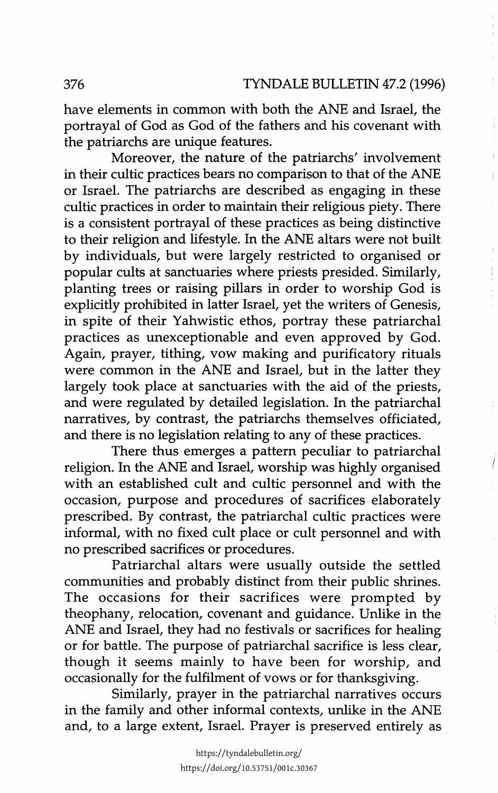have elements in common with both the ANE and Israel, the portrayal of God as God of the fathers and his covenant with the patriarchs are unique features.

Moreover, the nature of the patriarchs' involvement in their cultic practices bears no comparison to that of the ANE or Israel. The patriarchs are described as engaging in these cultic practices in order to maintain their religious piety. There is a consistent portrayal of these practices as being distinctive to their religion and lifestyle. In the ANE altars were not built by individuals, but were largely restricted to organised or popular cults at sanctuaries where priests presided. Similarly, planting trees or raising pillars in order to worship God is explicitly prohibited in latter Israel, yet the writers of Genesis, in spite of their Yahwistic ethos, portray these patriarchal practices as unexceptionable and even approved by God. Again, prayer, tithing, vow making and purificatory rituals were common in the ANE and Israel, but in the latter they largely took place at sanctuaries with the aid of the priests, and were regulated by detailed legislation. In the patriarchal narratives, by contrast, the patriarchs themselves officiated, and there is no legislation relating to any of these practices.

There thus emerges a pattern peculiar to patriarchal religion. In the ANE and Israel, worship was highly organised with an established cult and cultic personnel and with the occasion, purpose and procedures of sacrifices elaborately prescribed. By contrast, the patriarchal cultic practices were informal, with no fixed cult place or cult personnel and with no prescribed sacrifices or procedures.

Patriarchal altars were usually outside the settled communities and probably distinct from their public shrines. The occasions for their sacrifices were prompted by theophany, relocation, covenant and guidance. Unlike in the ANE and Israel, they had no festivals or sacrifices for healing or for battle. The purpose of patriarchal sacrifice is less clear, though it seems mainly to have been for worship, and occasionally for the fulfilment of vows or for thanksgiving.

Similarly, prayer in the patriarchal narratives occurs in the family and other informal contexts, unlike in the ANE and, to a large extent, Israel. Prayer is preserved entirely as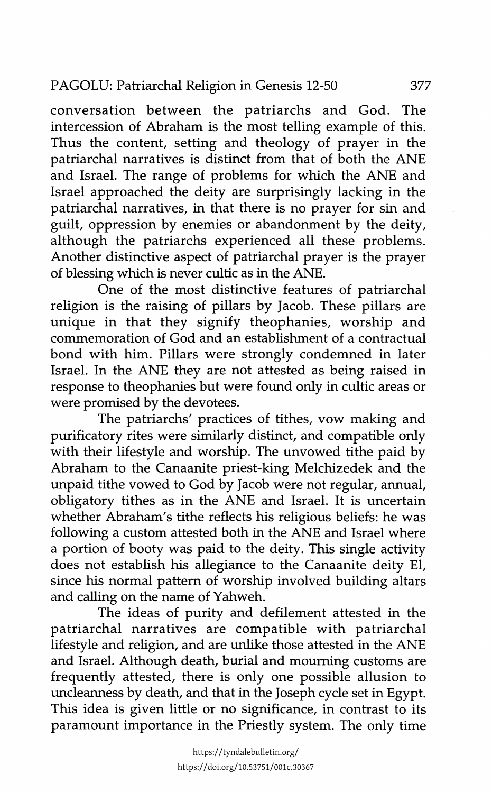## PAGOLU: Patriarchal Religion in Genesis 12-50 377

conversation between the patriarchs and God. The intercession of Abraham is the most telling example of this. Thus the content, setting and theology of prayer in the patriarchal narratives is distinct from that of both the ANE and Israel. The range of problems for which the ANE and Israel approached the deity are surprisingly lacking in the patriarchal narratives, in that there is no prayer for sin and guilt, oppression by enemies or abandonment by the deity, although the patriarchs experienced all these problems. Another distinctive aspect of patriarchal prayer is the prayer of blessing which is never cultic as in the ANE.

One of the most distinctive features of patriarchal religion is the raising of pillars by Jacob. These pillars are unique in that they signify theophanies, worship and commemoration of God and an establishment of a contractual bond with him. Pillars were strongly condemned in later Israel. In the ANE they are not attested as being raised in response to theophanies but were found only in cultic areas or were promised by the devotees.

The patriarchs' practices of tithes, vow making and purificatory rites were similarly distinct, and compatible only with their lifestyle and worship. The unvowed tithe paid by Abraham to the Canaanite priest-king Melchizedek and the unpaid tithe vowed to God by Jacob were not regular, annual, obligatory tithes as in the ANE and Israel. It is uncertain whether Abraham's tithe reflects his religious beliefs: he was following a custom attested both in the ANE and Israel where a portion of booty was paid to the deity. This single activity does not establish his allegiance to the Canaanite deity El, since his normal pattern of worship involved building altars and calling on the name of Yahweh.

The ideas of purity and defilement attested in the patriarchal narratives are compatible with patriarchal lifestyle and religion, and are unlike those attested in the ANE and Israel. Although death, burial and mourning customs are frequently attested, there is only one possible allusion to uncleanness by death, and that in the Joseph cycle set in Egypt. This idea is given little or no significance, in contrast to its paramount importance in the Priestly system. The only time